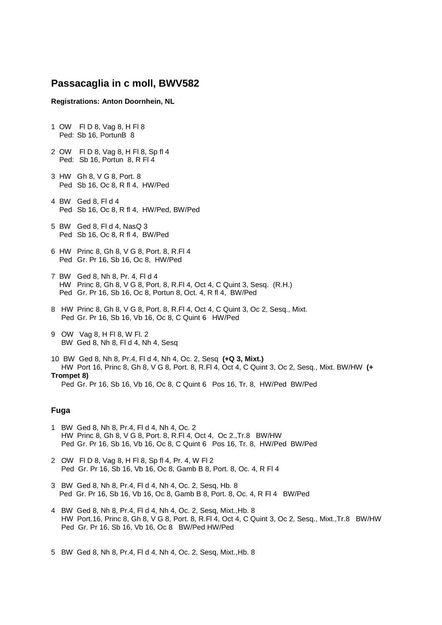## **Passacaglia in c moll, BWV582**

## **Registrations: Anton Doornhein, NL**

- 1 OW Fl D 8, Vag 8, H Fl 8 Ped: Sb 16, PortunB 8
- 2 OW Fl D 8, Vag 8, H Fl 8, Sp fl 4 Ped: Sb 16, Portun 8, R Fl 4
- 3 HW Gh 8, V G 8, Port. 8 Ped Sb 16, Oc 8, R fl 4, HW/Ped
- 4 BW Ged 8, Fl d 4 Ped Sb 16, Oc 8, R fl 4, HW/Ped, BW/Ped
- 5 BW Ged 8, Fl d 4, NasQ 3 Ped Sb 16, Oc 8, R fl 4, BW/Ped
- 6 HW Princ 8, Gh 8, V G 8, Port. 8, R.Fl 4 Ped Gr. Pr 16, Sb 16, Oc 8, HW/Ped
- 7 BW Ged 8, Nh 8, Pr. 4, Fl d 4 HW Princ 8, Gh 8, V G 8, Port. 8, R.Fl 4, Oct 4, C Quint 3, Sesq. (R.H.) Ped Gr. Pr 16, Sb 16, Oc 8, Portun 8, Oct. 4, R fl 4, BW/Ped
- 8 HW Princ 8, Gh 8, V G 8, Port. 8, R.Fl 4, Oct 4, C Quint 3, Oc 2, Sesq., Mixt. Ped Gr. Pr 16, Sb 16, Vb 16, Oc 8, C Quint 6 HW/Ped
- 9 OW Vag 8, H Fl 8, W Fl. 2 BW Ged 8, Nh 8, Fl d 4, Nh 4, Sesq
- 10 BW Ged 8, Nh 8, Pr.4, Fl d 4, Nh 4, Oc. 2, Sesq **(+Q 3, Mixt.)** HW Port 16, Princ 8, Gh 8, V G 8, Port. 8, R.Fl 4, Oct 4, C Quint 3, Oc 2, Sesq., Mixt. BW/HW **(+ Trompet 8)**  Ped Gr. Pr 16, Sb 16, Vb 16, Oc 8, C Quint 6 Pos 16, Tr. 8, HW/Ped BW/Ped

## **Fuga**

- 1 BW Ged 8, Nh 8, Pr.4, Fl d 4, Nh 4, Oc. 2 HW Princ 8, Gh 8, V G 8, Port. 8, R.Fl 4, Oct 4, Oc 2.,Tr.8 BW/HW Ped Gr. Pr 16, Sb 16, Vb 16, Oc 8, C Quint 6 Pos 16, Tr. 8, HW/Ped BW/Ped
- 2 OW Fl D 8, Vag 8, H Fl 8, Sp fl 4, Pr. 4, W Fl 2 Ped Gr. Pr 16, Sb 16, Vb 16, Oc 8, Gamb B 8, Port. 8, Oc. 4, R Fl 4
- 3 BW Ged 8, Nh 8, Pr.4, Fl d 4, Nh 4, Oc. 2, Sesq, Hb. 8 Ped Gr. Pr 16, Sb 16, Vb 16, Oc 8, Gamb B 8, Port. 8, Oc. 4, R Fl 4 BW/Ped
- 4 BW Ged 8, Nh 8, Pr.4, Fl d 4, Nh 4, Oc. 2, Sesq, Mixt.,Hb. 8 HW Port.16, Princ 8, Gh 8, V G 8, Port. 8, R.Fl 4, Oct 4, C Quint 3, Oc 2, Sesq., Mixt.,Tr.8 BW/HW Ped Gr. Pr 16, Sb 16, Vb 16, Oc 8 BW/Ped HW/Ped

5 BW Ged 8, Nh 8, Pr.4, Fl d 4, Nh 4, Oc. 2, Sesq, Mixt.,Hb. 8